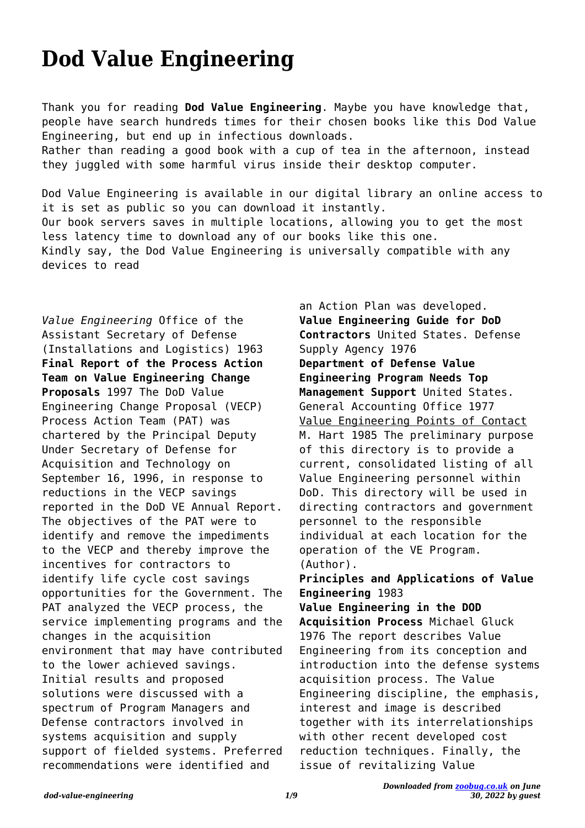## **Dod Value Engineering**

Thank you for reading **Dod Value Engineering**. Maybe you have knowledge that, people have search hundreds times for their chosen books like this Dod Value Engineering, but end up in infectious downloads. Rather than reading a good book with a cup of tea in the afternoon, instead they juggled with some harmful virus inside their desktop computer.

Dod Value Engineering is available in our digital library an online access to it is set as public so you can download it instantly. Our book servers saves in multiple locations, allowing you to get the most less latency time to download any of our books like this one. Kindly say, the Dod Value Engineering is universally compatible with any devices to read

*Value Engineering* Office of the Assistant Secretary of Defense (Installations and Logistics) 1963 **Final Report of the Process Action Team on Value Engineering Change Proposals** 1997 The DoD Value Engineering Change Proposal (VECP) Process Action Team (PAT) was chartered by the Principal Deputy Under Secretary of Defense for Acquisition and Technology on September 16, 1996, in response to reductions in the VECP savings reported in the DoD VE Annual Report. The objectives of the PAT were to identify and remove the impediments to the VECP and thereby improve the incentives for contractors to identify life cycle cost savings opportunities for the Government. The PAT analyzed the VECP process, the service implementing programs and the changes in the acquisition environment that may have contributed to the lower achieved savings. Initial results and proposed solutions were discussed with a spectrum of Program Managers and Defense contractors involved in systems acquisition and supply support of fielded systems. Preferred recommendations were identified and

an Action Plan was developed. **Value Engineering Guide for DoD Contractors** United States. Defense Supply Agency 1976 **Department of Defense Value Engineering Program Needs Top Management Support** United States. General Accounting Office 1977 Value Engineering Points of Contact M. Hart 1985 The preliminary purpose of this directory is to provide a current, consolidated listing of all Value Engineering personnel within DoD. This directory will be used in directing contractors and government personnel to the responsible individual at each location for the operation of the VE Program. (Author). **Principles and Applications of Value Engineering** 1983 **Value Engineering in the DOD Acquisition Process** Michael Gluck 1976 The report describes Value Engineering from its conception and introduction into the defense systems acquisition process. The Value Engineering discipline, the emphasis, interest and image is described together with its interrelationships with other recent developed cost reduction techniques. Finally, the issue of revitalizing Value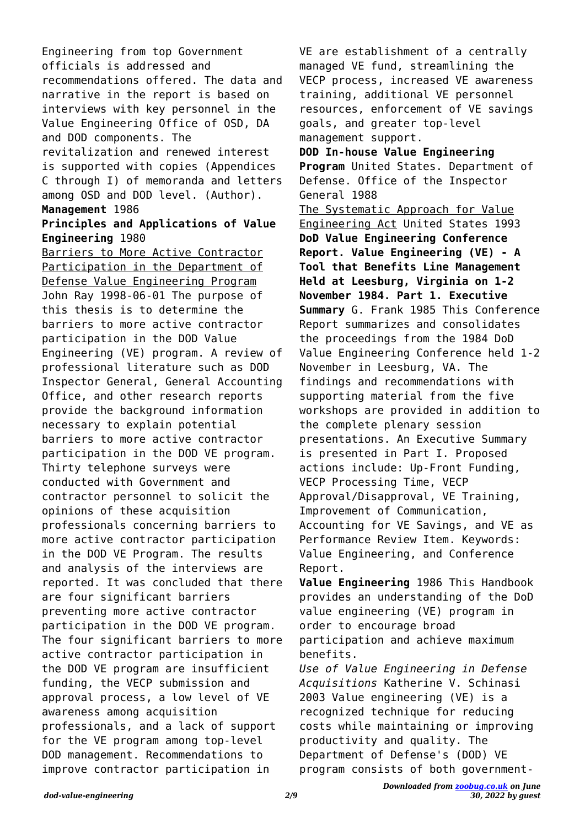Engineering from top Government officials is addressed and recommendations offered. The data and narrative in the report is based on interviews with key personnel in the Value Engineering Office of OSD, DA and DOD components. The revitalization and renewed interest is supported with copies (Appendices C through I) of memoranda and letters among OSD and DOD level. (Author). **Management** 1986

## **Principles and Applications of Value Engineering** 1980

Barriers to More Active Contractor Participation in the Department of Defense Value Engineering Program John Ray 1998-06-01 The purpose of this thesis is to determine the barriers to more active contractor participation in the DOD Value Engineering (VE) program. A review of professional literature such as DOD Inspector General, General Accounting Office, and other research reports provide the background information necessary to explain potential barriers to more active contractor participation in the DOD VE program. Thirty telephone surveys were conducted with Government and contractor personnel to solicit the opinions of these acquisition professionals concerning barriers to more active contractor participation in the DOD VE Program. The results and analysis of the interviews are reported. It was concluded that there are four significant barriers preventing more active contractor participation in the DOD VE program. The four significant barriers to more active contractor participation in the DOD VE program are insufficient funding, the VECP submission and approval process, a low level of VE awareness among acquisition professionals, and a lack of support for the VE program among top-level DOD management. Recommendations to improve contractor participation in

VE are establishment of a centrally managed VE fund, streamlining the VECP process, increased VE awareness training, additional VE personnel resources, enforcement of VE savings goals, and greater top-level management support. **DOD In-house Value Engineering Program** United States. Department of Defense. Office of the Inspector General 1988 The Systematic Approach for Value Engineering Act United States 1993 **DoD Value Engineering Conference Report. Value Engineering (VE) - A Tool that Benefits Line Management Held at Leesburg, Virginia on 1-2 November 1984. Part 1. Executive Summary** G. Frank 1985 This Conference Report summarizes and consolidates the proceedings from the 1984 DoD Value Engineering Conference held 1-2 November in Leesburg, VA. The findings and recommendations with supporting material from the five workshops are provided in addition to the complete plenary session presentations. An Executive Summary is presented in Part I. Proposed actions include: Up-Front Funding, VECP Processing Time, VECP Approval/Disapproval, VE Training, Improvement of Communication, Accounting for VE Savings, and VE as Performance Review Item. Keywords: Value Engineering, and Conference Report. **Value Engineering** 1986 This Handbook provides an understanding of the DoD value engineering (VE) program in order to encourage broad

participation and achieve maximum benefits.

*Use of Value Engineering in Defense Acquisitions* Katherine V. Schinasi 2003 Value engineering (VE) is a recognized technique for reducing costs while maintaining or improving productivity and quality. The Department of Defense's (DOD) VE program consists of both government-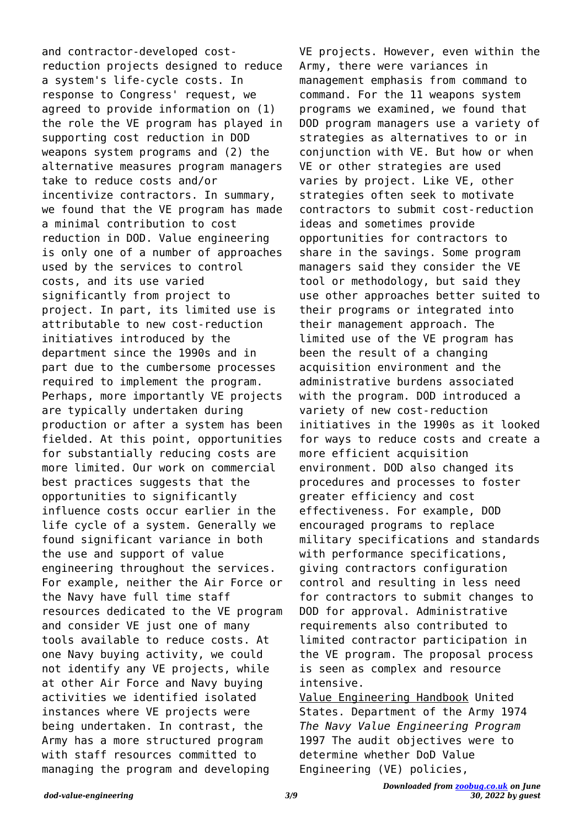and contractor-developed costreduction projects designed to reduce a system's life-cycle costs. In response to Congress' request, we agreed to provide information on (1) the role the VE program has played in supporting cost reduction in DOD weapons system programs and (2) the alternative measures program managers take to reduce costs and/or incentivize contractors. In summary, we found that the VE program has made a minimal contribution to cost reduction in DOD. Value engineering is only one of a number of approaches used by the services to control costs, and its use varied significantly from project to project. In part, its limited use is attributable to new cost-reduction initiatives introduced by the department since the 1990s and in part due to the cumbersome processes required to implement the program. Perhaps, more importantly VE projects are typically undertaken during production or after a system has been fielded. At this point, opportunities for substantially reducing costs are more limited. Our work on commercial best practices suggests that the opportunities to significantly influence costs occur earlier in the life cycle of a system. Generally we found significant variance in both the use and support of value engineering throughout the services. For example, neither the Air Force or the Navy have full time staff resources dedicated to the VE program and consider VE just one of many tools available to reduce costs. At one Navy buying activity, we could not identify any VE projects, while at other Air Force and Navy buying activities we identified isolated instances where VE projects were being undertaken. In contrast, the Army has a more structured program with staff resources committed to managing the program and developing

VE projects. However, even within the Army, there were variances in management emphasis from command to command. For the 11 weapons system programs we examined, we found that DOD program managers use a variety of strategies as alternatives to or in conjunction with VE. But how or when VE or other strategies are used varies by project. Like VE, other strategies often seek to motivate contractors to submit cost-reduction ideas and sometimes provide opportunities for contractors to share in the savings. Some program managers said they consider the VE tool or methodology, but said they use other approaches better suited to their programs or integrated into their management approach. The limited use of the VE program has been the result of a changing acquisition environment and the administrative burdens associated with the program. DOD introduced a variety of new cost-reduction initiatives in the 1990s as it looked for ways to reduce costs and create a more efficient acquisition environment. DOD also changed its procedures and processes to foster greater efficiency and cost effectiveness. For example, DOD encouraged programs to replace military specifications and standards with performance specifications, giving contractors configuration control and resulting in less need for contractors to submit changes to DOD for approval. Administrative requirements also contributed to limited contractor participation in the VE program. The proposal process is seen as complex and resource intensive. Value Engineering Handbook United

States. Department of the Army 1974 *The Navy Value Engineering Program* 1997 The audit objectives were to determine whether DoD Value Engineering (VE) policies,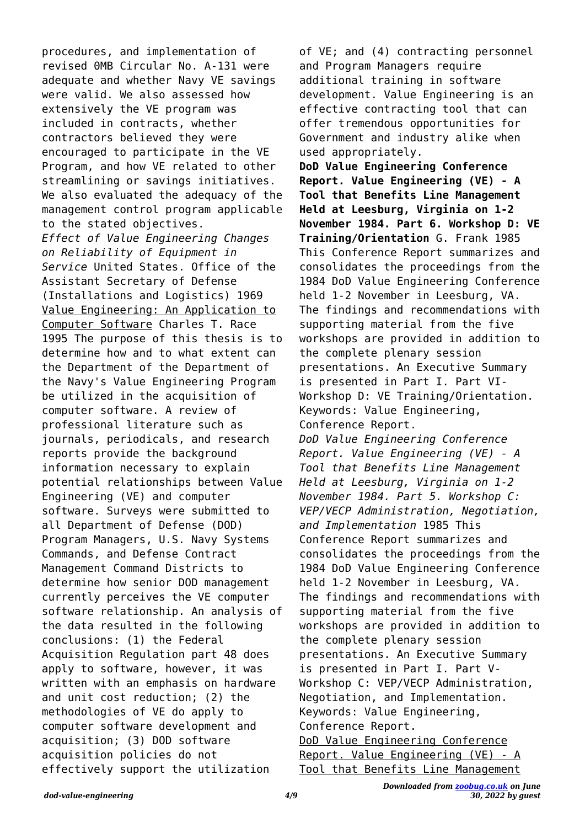procedures, and implementation of revised 0MB Circular No. A-131 were adequate and whether Navy VE savings were valid. We also assessed how extensively the VE program was included in contracts, whether contractors believed they were encouraged to participate in the VE Program, and how VE related to other streamlining or savings initiatives. We also evaluated the adequacy of the management control program applicable to the stated objectives. *Effect of Value Engineering Changes on Reliability of Equipment in Service* United States. Office of the Assistant Secretary of Defense (Installations and Logistics) 1969 Value Engineering: An Application to Computer Software Charles T. Race 1995 The purpose of this thesis is to determine how and to what extent can the Department of the Department of the Navy's Value Engineering Program be utilized in the acquisition of computer software. A review of professional literature such as journals, periodicals, and research reports provide the background information necessary to explain potential relationships between Value Engineering (VE) and computer software. Surveys were submitted to all Department of Defense (DOD) Program Managers, U.S. Navy Systems Commands, and Defense Contract Management Command Districts to determine how senior DOD management currently perceives the VE computer software relationship. An analysis of the data resulted in the following conclusions: (1) the Federal Acquisition Regulation part 48 does apply to software, however, it was written with an emphasis on hardware and unit cost reduction; (2) the methodologies of VE do apply to computer software development and acquisition; (3) DOD software acquisition policies do not effectively support the utilization

of VE; and (4) contracting personnel and Program Managers require additional training in software development. Value Engineering is an effective contracting tool that can offer tremendous opportunities for Government and industry alike when used appropriately. **DoD Value Engineering Conference Report. Value Engineering (VE) - A Tool that Benefits Line Management Held at Leesburg, Virginia on 1-2 November 1984. Part 6. Workshop D: VE Training/Orientation** G. Frank 1985 This Conference Report summarizes and consolidates the proceedings from the 1984 DoD Value Engineering Conference held 1-2 November in Leesburg, VA. The findings and recommendations with supporting material from the five workshops are provided in addition to the complete plenary session presentations. An Executive Summary is presented in Part I. Part VI-Workshop D: VE Training/Orientation. Keywords: Value Engineering, Conference Report. *DoD Value Engineering Conference Report. Value Engineering (VE) - A Tool that Benefits Line Management Held at Leesburg, Virginia on 1-2 November 1984. Part 5. Workshop C: VEP/VECP Administration, Negotiation, and Implementation* 1985 This Conference Report summarizes and consolidates the proceedings from the 1984 DoD Value Engineering Conference held 1-2 November in Leesburg, VA. The findings and recommendations with supporting material from the five workshops are provided in addition to the complete plenary session presentations. An Executive Summary is presented in Part I. Part V-Workshop C: VEP/VECP Administration, Negotiation, and Implementation. Keywords: Value Engineering, Conference Report. DoD Value Engineering Conference Report. Value Engineering (VE) - A Tool that Benefits Line Management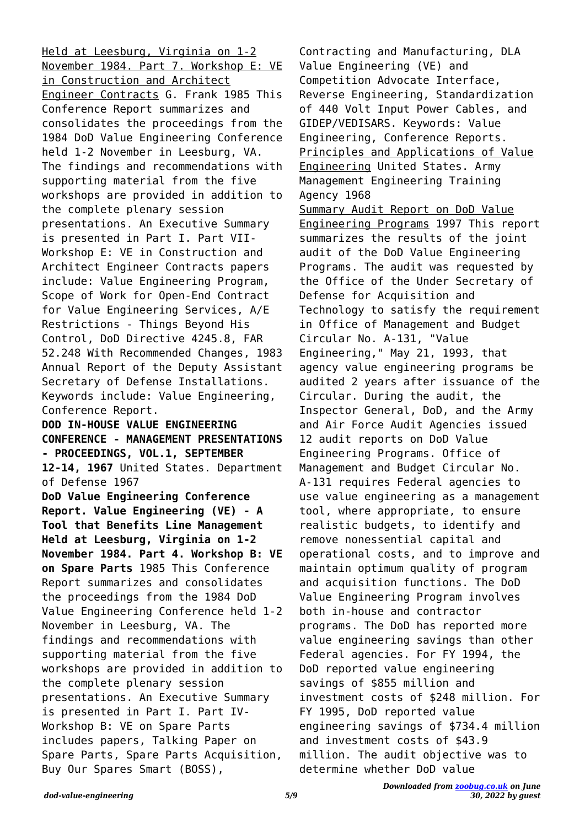Held at Leesburg, Virginia on 1-2 November 1984. Part 7. Workshop E: VE in Construction and Architect Engineer Contracts G. Frank 1985 This Conference Report summarizes and consolidates the proceedings from the 1984 DoD Value Engineering Conference held 1-2 November in Leesburg, VA. The findings and recommendations with supporting material from the five workshops are provided in addition to the complete plenary session presentations. An Executive Summary is presented in Part I. Part VII-Workshop E: VE in Construction and Architect Engineer Contracts papers include: Value Engineering Program, Scope of Work for Open-End Contract for Value Engineering Services, A/E Restrictions - Things Beyond His Control, DoD Directive 4245.8, FAR 52.248 With Recommended Changes, 1983 Annual Report of the Deputy Assistant Secretary of Defense Installations. Keywords include: Value Engineering, Conference Report. **DOD IN-HOUSE VALUE ENGINEERING CONFERENCE - MANAGEMENT PRESENTATIONS - PROCEEDINGS, VOL.1, SEPTEMBER 12-14, 1967** United States. Department of Defense 1967 **DoD Value Engineering Conference Report. Value Engineering (VE) - A Tool that Benefits Line Management Held at Leesburg, Virginia on 1-2 November 1984. Part 4. Workshop B: VE on Spare Parts** 1985 This Conference Report summarizes and consolidates the proceedings from the 1984 DoD Value Engineering Conference held 1-2 November in Leesburg, VA. The findings and recommendations with supporting material from the five workshops are provided in addition to the complete plenary session presentations. An Executive Summary is presented in Part I. Part IV-Workshop B: VE on Spare Parts includes papers, Talking Paper on Spare Parts, Spare Parts Acquisition, Buy Our Spares Smart (BOSS),

Contracting and Manufacturing, DLA Value Engineering (VE) and Competition Advocate Interface, Reverse Engineering, Standardization of 440 Volt Input Power Cables, and GIDEP/VEDISARS. Keywords: Value Engineering, Conference Reports. Principles and Applications of Value Engineering United States. Army Management Engineering Training Agency 1968 Summary Audit Report on DoD Value Engineering Programs 1997 This report summarizes the results of the joint audit of the DoD Value Engineering Programs. The audit was requested by the Office of the Under Secretary of Defense for Acquisition and Technology to satisfy the requirement in Office of Management and Budget Circular No. A-131, "Value Engineering," May 21, 1993, that agency value engineering programs be audited 2 years after issuance of the Circular. During the audit, the Inspector General, DoD, and the Army and Air Force Audit Agencies issued 12 audit reports on DoD Value Engineering Programs. Office of Management and Budget Circular No. A-131 requires Federal agencies to use value engineering as a management tool, where appropriate, to ensure realistic budgets, to identify and remove nonessential capital and operational costs, and to improve and maintain optimum quality of program and acquisition functions. The DoD Value Engineering Program involves both in-house and contractor programs. The DoD has reported more value engineering savings than other Federal agencies. For FY 1994, the DoD reported value engineering savings of \$855 million and investment costs of \$248 million. For FY 1995, DoD reported value engineering savings of \$734.4 million and investment costs of \$43.9 million. The audit objective was to determine whether DoD value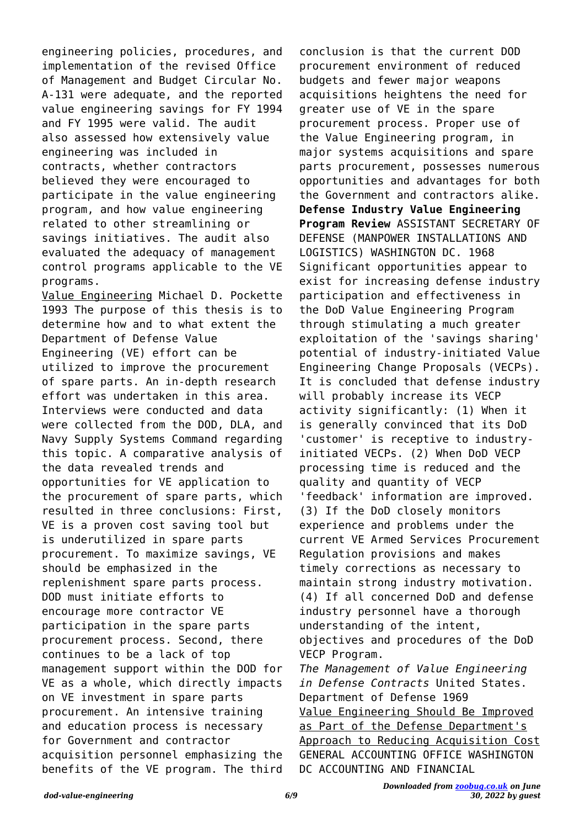engineering policies, procedures, and implementation of the revised Office of Management and Budget Circular No. A-131 were adequate, and the reported value engineering savings for FY 1994 and FY 1995 were valid. The audit also assessed how extensively value engineering was included in contracts, whether contractors believed they were encouraged to participate in the value engineering program, and how value engineering related to other streamlining or savings initiatives. The audit also evaluated the adequacy of management control programs applicable to the VE programs.

Value Engineering Michael D. Pockette 1993 The purpose of this thesis is to determine how and to what extent the Department of Defense Value Engineering (VE) effort can be utilized to improve the procurement of spare parts. An in-depth research effort was undertaken in this area. Interviews were conducted and data were collected from the DOD, DLA, and Navy Supply Systems Command regarding this topic. A comparative analysis of the data revealed trends and opportunities for VE application to the procurement of spare parts, which resulted in three conclusions: First, VE is a proven cost saving tool but is underutilized in spare parts procurement. To maximize savings, VE should be emphasized in the replenishment spare parts process. DOD must initiate efforts to encourage more contractor VE participation in the spare parts procurement process. Second, there continues to be a lack of top management support within the DOD for VE as a whole, which directly impacts on VE investment in spare parts procurement. An intensive training and education process is necessary for Government and contractor acquisition personnel emphasizing the benefits of the VE program. The third

conclusion is that the current DOD procurement environment of reduced budgets and fewer major weapons acquisitions heightens the need for greater use of VE in the spare procurement process. Proper use of the Value Engineering program, in major systems acquisitions and spare parts procurement, possesses numerous opportunities and advantages for both the Government and contractors alike. **Defense Industry Value Engineering Program Review** ASSISTANT SECRETARY OF DEFENSE (MANPOWER INSTALLATIONS AND LOGISTICS) WASHINGTON DC. 1968 Significant opportunities appear to exist for increasing defense industry participation and effectiveness in the DoD Value Engineering Program through stimulating a much greater exploitation of the 'savings sharing' potential of industry-initiated Value Engineering Change Proposals (VECPs). It is concluded that defense industry will probably increase its VECP activity significantly: (1) When it is generally convinced that its DoD 'customer' is receptive to industryinitiated VECPs. (2) When DoD VECP processing time is reduced and the quality and quantity of VECP 'feedback' information are improved. (3) If the DoD closely monitors experience and problems under the current VE Armed Services Procurement Regulation provisions and makes timely corrections as necessary to maintain strong industry motivation. (4) If all concerned DoD and defense industry personnel have a thorough understanding of the intent, objectives and procedures of the DoD VECP Program. *The Management of Value Engineering in Defense Contracts* United States. Department of Defense 1969 Value Engineering Should Be Improved as Part of the Defense Department's Approach to Reducing Acquisition Cost GENERAL ACCOUNTING OFFICE WASHINGTON DC ACCOUNTING AND FINANCIAL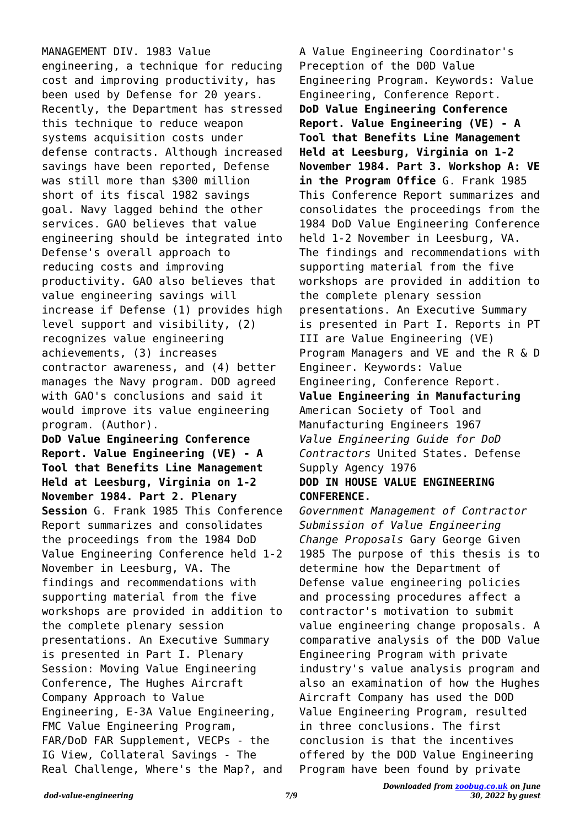MANAGEMENT DIV. 1983 Value engineering, a technique for reducing cost and improving productivity, has been used by Defense for 20 years. Recently, the Department has stressed this technique to reduce weapon systems acquisition costs under defense contracts. Although increased savings have been reported, Defense was still more than \$300 million short of its fiscal 1982 savings goal. Navy lagged behind the other services. GAO believes that value engineering should be integrated into Defense's overall approach to reducing costs and improving productivity. GAO also believes that value engineering savings will increase if Defense (1) provides high level support and visibility, (2) recognizes value engineering achievements, (3) increases contractor awareness, and (4) better manages the Navy program. DOD agreed with GAO's conclusions and said it would improve its value engineering program. (Author). **DoD Value Engineering Conference Report. Value Engineering (VE) - A Tool that Benefits Line Management**

**Held at Leesburg, Virginia on 1-2 November 1984. Part 2. Plenary Session** G. Frank 1985 This Conference Report summarizes and consolidates the proceedings from the 1984 DoD Value Engineering Conference held 1-2 November in Leesburg, VA. The findings and recommendations with supporting material from the five workshops are provided in addition to the complete plenary session presentations. An Executive Summary is presented in Part I. Plenary Session: Moving Value Engineering Conference, The Hughes Aircraft Company Approach to Value Engineering, E-3A Value Engineering, FMC Value Engineering Program, FAR/DoD FAR Supplement, VECPs - the IG View, Collateral Savings - The Real Challenge, Where's the Map?, and

A Value Engineering Coordinator's Preception of the D0D Value Engineering Program. Keywords: Value Engineering, Conference Report. **DoD Value Engineering Conference Report. Value Engineering (VE) - A Tool that Benefits Line Management Held at Leesburg, Virginia on 1-2 November 1984. Part 3. Workshop A: VE in the Program Office** G. Frank 1985 This Conference Report summarizes and consolidates the proceedings from the 1984 DoD Value Engineering Conference held 1-2 November in Leesburg, VA. The findings and recommendations with supporting material from the five workshops are provided in addition to the complete plenary session presentations. An Executive Summary is presented in Part I. Reports in PT III are Value Engineering (VE) Program Managers and VE and the R & D Engineer. Keywords: Value Engineering, Conference Report. **Value Engineering in Manufacturing** American Society of Tool and Manufacturing Engineers 1967 *Value Engineering Guide for DoD Contractors* United States. Defense Supply Agency 1976 **DOD IN HOUSE VALUE ENGINEERING**

## **CONFERENCE.**

*Government Management of Contractor Submission of Value Engineering Change Proposals* Gary George Given 1985 The purpose of this thesis is to determine how the Department of Defense value engineering policies and processing procedures affect a contractor's motivation to submit value engineering change proposals. A comparative analysis of the DOD Value Engineering Program with private industry's value analysis program and also an examination of how the Hughes Aircraft Company has used the DOD Value Engineering Program, resulted in three conclusions. The first conclusion is that the incentives offered by the DOD Value Engineering Program have been found by private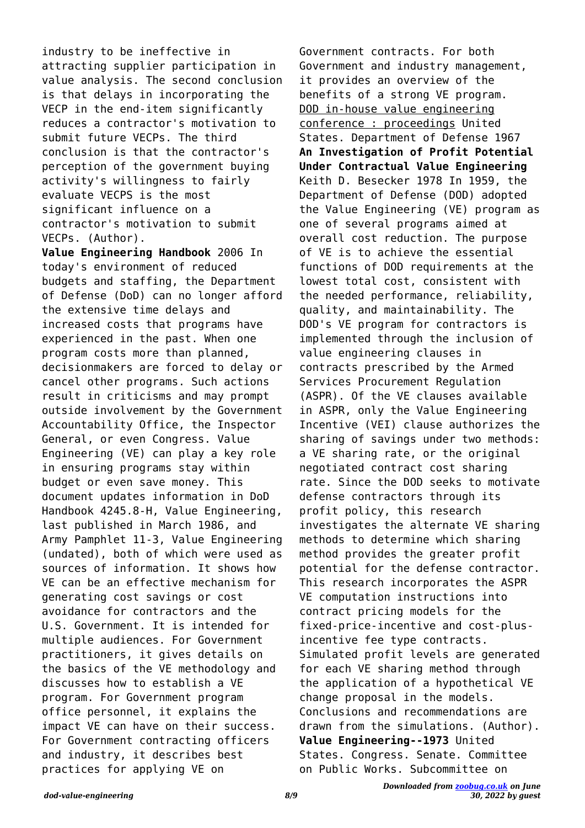industry to be ineffective in attracting supplier participation in value analysis. The second conclusion is that delays in incorporating the VECP in the end-item significantly reduces a contractor's motivation to submit future VECPs. The third conclusion is that the contractor's perception of the government buying activity's willingness to fairly evaluate VECPS is the most significant influence on a contractor's motivation to submit VECPs. (Author).

**Value Engineering Handbook** 2006 In today's environment of reduced budgets and staffing, the Department of Defense (DoD) can no longer afford the extensive time delays and increased costs that programs have experienced in the past. When one program costs more than planned, decisionmakers are forced to delay or cancel other programs. Such actions result in criticisms and may prompt outside involvement by the Government Accountability Office, the Inspector General, or even Congress. Value Engineering (VE) can play a key role in ensuring programs stay within budget or even save money. This document updates information in DoD Handbook 4245.8-H, Value Engineering, last published in March 1986, and Army Pamphlet 11-3, Value Engineering (undated), both of which were used as sources of information. It shows how VE can be an effective mechanism for generating cost savings or cost avoidance for contractors and the U.S. Government. It is intended for multiple audiences. For Government practitioners, it gives details on the basics of the VE methodology and discusses how to establish a VE program. For Government program office personnel, it explains the impact VE can have on their success. For Government contracting officers and industry, it describes best practices for applying VE on

Government contracts. For both Government and industry management, it provides an overview of the benefits of a strong VE program. DOD in-house value engineering conference : proceedings United States. Department of Defense 1967 **An Investigation of Profit Potential Under Contractual Value Engineering** Keith D. Besecker 1978 In 1959, the Department of Defense (DOD) adopted the Value Engineering (VE) program as one of several programs aimed at overall cost reduction. The purpose of VE is to achieve the essential functions of DOD requirements at the lowest total cost, consistent with the needed performance, reliability, quality, and maintainability. The DOD's VE program for contractors is implemented through the inclusion of value engineering clauses in contracts prescribed by the Armed Services Procurement Regulation (ASPR). Of the VE clauses available in ASPR, only the Value Engineering Incentive (VEI) clause authorizes the sharing of savings under two methods: a VE sharing rate, or the original negotiated contract cost sharing rate. Since the DOD seeks to motivate defense contractors through its profit policy, this research investigates the alternate VE sharing methods to determine which sharing method provides the greater profit potential for the defense contractor. This research incorporates the ASPR VE computation instructions into contract pricing models for the fixed-price-incentive and cost-plusincentive fee type contracts. Simulated profit levels are generated for each VE sharing method through the application of a hypothetical VE change proposal in the models. Conclusions and recommendations are drawn from the simulations. (Author). **Value Engineering--1973** United States. Congress. Senate. Committee on Public Works. Subcommittee on